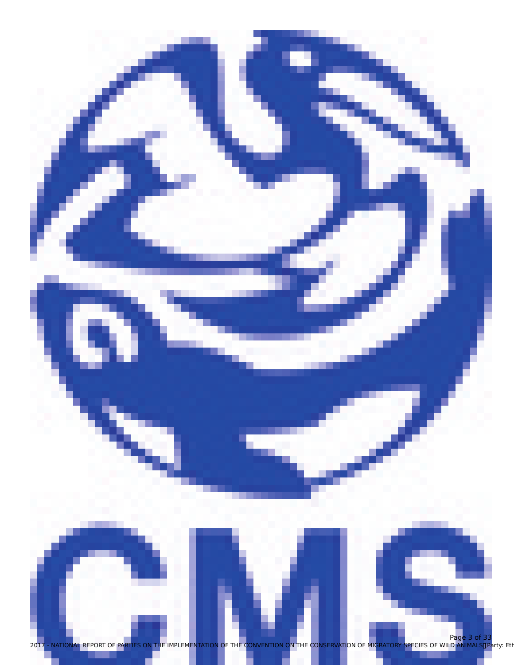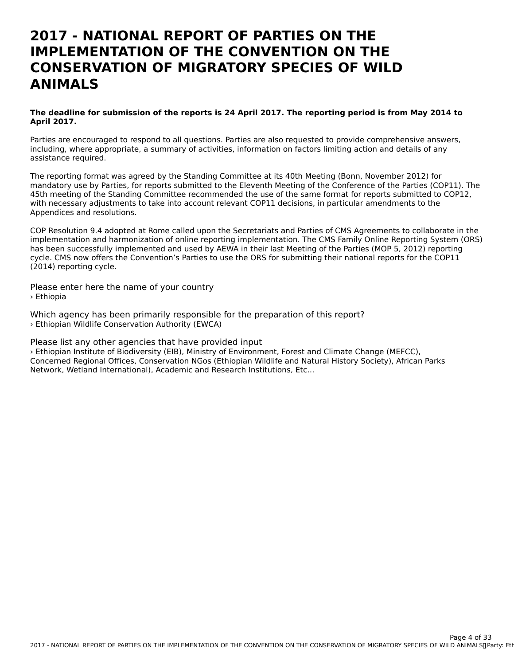## **2017 - NATIONAL REPORT OF PARTIES ON THEIMPLEMENTATION OF THE CONVENTION ON THECONSERVATION OF MIGRATORY SPECIES OF WILDANIMALS**

### **The deadline for submission of the reports is 24 April 2017. The reporting period is from May 2014 to April 2017.**

Parties are encouraged to respond to all questions. Parties are also requested to provide comprehensive answers, including, where appropriate, a summary of activities, information on factors limiting action and details of any mcluumg, where app<br>assistance required.

The reporting format was agreed by the Standing Committee at its 40th Meeting (Bonn, November 2012) for mandatory use by Parties, for reports submitted to the Eleventh Meeting of the Conference of the Parties (COP11). The 45th meeting of the Standing Committee recommended the use of the same format for reports submitted to COP12, 45th meeting of the Standing Committee recommended the use of the same format for reports submitted to<br>With necessary adjustments to take into account relevant COP11 decisions, in particular amendments to the Appendices and resolutions.

COP Resolution 9.4 adopted at Rome called upon the Secretariats and Parties of CMS Agreements to collaborate in the implementation and harmonization of online reporting implementation. The CMS Family Online Reporting System (ORS) has been successfully implemented and used by AEWA in their last Meeting of the Parties (MOP 5, 2012) reporting cycle. CMS now offers the Convention's Parties to use the ORS for submitting their national reports for the COP11 (2014) reporting cycle.

Please enter here the name of your country › Ethiopia

Which agency has been primarily responsible for the preparation of this report? › Ethiopian Wildlife Conservation Authority (EWCA)

Please list any other agencies that have provided input

› Ethiopian Institute of Biodiversity (EIB), Ministry of Environment, Forest and Climate Change (MEFCC), Concerned Regional Offices, Conservation NGos (Ethiopian Wildlife and Natural History Society), African Parks Network, Wetland International), Academic and Research Institutions, Etc...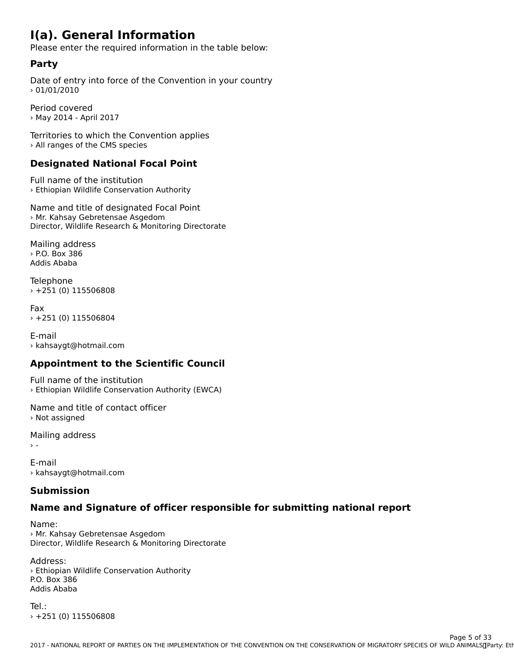## **I(a). General Information**

Please enter the required information in the table below:

## **Party**

Date of entry into force of the Convention in your country  $>01/01/2010$ 

Period covered› May 2014 - April 2017

Territories to which the Convention applies › All ranges of the CMS species

## **Designated National Focal Point**

Full name of the institution › Ethiopian Wildlife Conservation Authority

Name and title of designated Focal Point › Mr. Kahsay Gebretensae Asgedom Director, Wildlife Research & Monitoring Directorate

Mailing address › P.O. Box 386 Addis Ababa

Telephone › +251 (0) 115506808

Fax› +251 (0) 115506804

E-mail› kahsaygt@hotmail.com

## **Appointment to the Scientific Council**

Full name of the institution › Ethiopian Wildlife Conservation Authority (EWCA)

Name and title of contact officer› Not assigned

Mailing address

 $\rightarrow$  -

E-mail › kahsaygt@hotmail.com

### **Submission**

## **Name and Signature of officer responsible for submitting national report**

Name:› Mr. Kahsay Gebretensae Asgedom Director, Wildlife Research & Monitoring Directorate

#### Address:

Address.<br>› Ethiopian Wildlife Conservation Authority P.O. Box 386 Addis Ababa

Tel.:› +251 (0) 115506808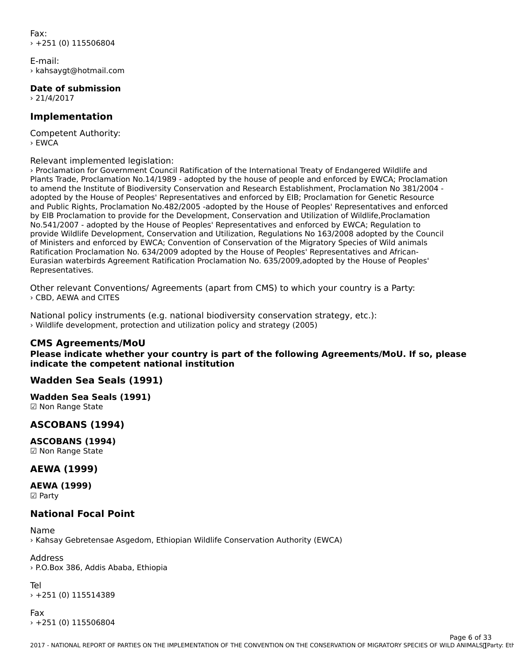Fax: $+251(0)$  115506804

E-mail:› kahsaygt@hotmail.com

**Date of submission**  $\frac{1}{2}$  21/4/2017

### **Implementation**

Competent Authority: › EWCA

Relevant implemented legislation:

› Proclamation for Government Council Ratification of the International Treaty of Endangered Wildlife and Plants Trade, Proclamation No.14/1989 - adopted by the house of people and enforced by EWCA; Proclamation to amend the Institute of Biodiversity Conservation and Research Establishment, Proclamation No 381/2004 adopted by the House of Peoples' Representatives and enforced by EIB; Proclamation for Genetic Resource audpled by the House of Peoples Representatives and enforced by EIB, Proclamation for Genetic Resource<br>and Public Rights, Proclamation No.482/2005 -adopted by the House of Peoples' Representatives and enforced by EIB Proclamation to provide for the Development, Conservation and Utilization of Wildlife, Proclamation no.541/2007 - adopted by the House of Peoples' Representatives and enforced by EWCA; Regulation to adopted by the House of Peoples' Representatives and enforced by EWCA; Regulation to  $\Gamma$ of Ministers and evelopment, Conservation and Othization, Regulations No. 103/2000 adopted by the Confer of Ministers and enforced by EWCA; Convention of Conservation of the Migratory Species of Wild animals Ratification Proclamation No. 634/2009 adopted by the House of Peoples' Representatives and African-Eurasian waterbirds Agreement Ratification Proclamation No. 635/2009,adopted by the House of Peoples'Lui asiair waterbinds Agreement Natification Hoclamation No. 055/2009,au0pted by the House of Feoples<br>Personalisticism Representatives.

Other relevant Conventions/ Agreements (apart from CMS) to which your country is a Party: › CBD, AEWA and CITES

National policy instruments (e.g. national biodiversity conservation strategy, etc.): › Wildlife development, protection and utilization policy and strategy (2005)

### **CMS Agreements/MoU**

**Please indicate whether your country is part of the following Agreements/MoU. If so, please indicate the competent national institution**

### **Wadden Sea Seals (1991)**

**Wadden Sea Seals (1991)** waaach Sca Sc<br>**☑ Non Range State** 

## **ASCOBANS (1994)**

**ASCOBANS (1994)** ☑ Non Range State

### **AEWA (1999)**

**AEWA (1999)** ———————————————————<br>☑ Party

#### **National Focal Point**

Name

› Kahsay Gebretensae Asgedom, Ethiopian Wildlife Conservation Authority (EWCA)

Address › P.O.Box 386, Addis Ababa, Ethiopia

Tel

› +251 (0) 115514389

Fax› +251 (0) 115506804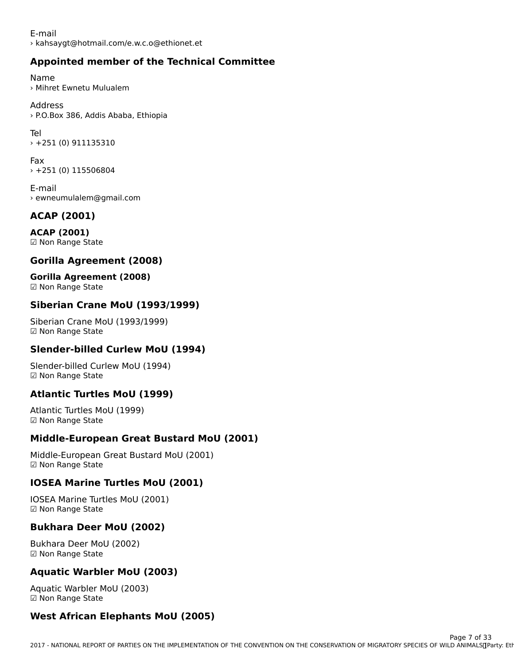## **Appointed member of the Technical Committee**

Name› Mihret Ewnetu Mulualem

Address› P.O.Box 386, Addis Ababa, Ethiopia

Tel› +251 (0) 911135310

Fax› +251 (0) 115506804

E-mail › ewneumulalem@gmail.com

## **ACAP (2001)**

**ACAP (2001)**☑ Non Range State

## **Gorilla Agreement (2008)**

## **Gorilla Agreement (2008)**

**⊍UTTHA Ayreeme**<br>☑ Non Range State

## **Siberian Crane MoU (1993/1999)**

Siberian Crane MoU (1993/1999)☑ Non Range State

## **Slender-billed Curlew MoU (1994)**

Slender-billed Curlew MoU (1994) ☑ Non Range State

## **Atlantic Turtles MoU (1999)**

Atlantic Turtles MoU (1999)☑ Non Range State☑ Non Range State

## **Middle-European Great Bustard MoU (2001)**

Middle-European Great Bustard MoU (2001) ι•πααιe-∟αι ορeατι<br>☑ Non Range State

## **IOSEA Marine Turtles MoU (2001)**

IOSEA Marine Turtles MoU (2001) ioseA Marine Ture<br>☑ Non Range State

## **Bukhara Deer MoU (2002)**

Bukhara Deer MoU (2002) ☑ Non Range State

## **Aquatic Warbler MoU (2003)**

Aquatic Warbler MoU (2003) ☑ Non Range State☑ Non Range State

## **West African Elephants MoU (2005)**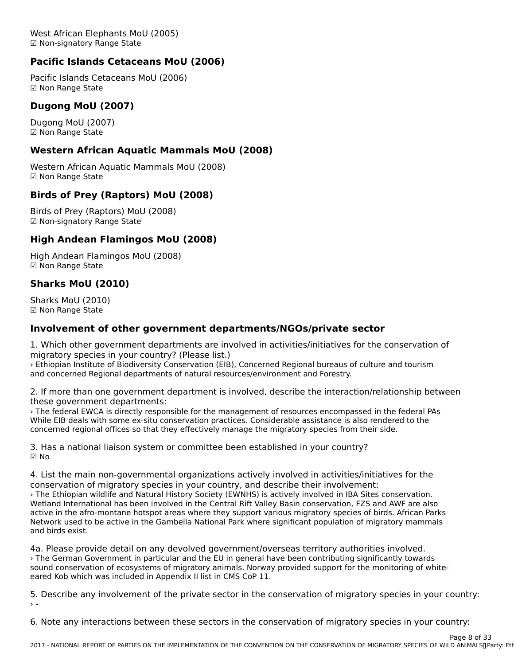West African Elephants MoU (2005)west Affican Elephants No<br>☑ Non-signatory Range State

## **Pacific Islands Cetaceans MoU (2006)**

Pacific Islands Cetaceans MoU (2006) ☑ Non Range State

## **Dugong MoU (2007)**

Dugong MoU (2007) Dugong noo (zoc<br>☑ Non Range State

## **Western African Aquatic Mammals MoU (2008)**

Western African Aquatic Mammals MoU (2008) western Amcan A<br>☑ Non Range State

## **Birds of Prey (Raptors) MoU (2008)**

Birds of Prey (Raptors) MoU (2008) ☑ Non-signatory Range State

## **High Andean Flamingos MoU (2008)**

High Andean Flamingos MoU (2008) rngn Andean Fran<br>☑ Non Range State

## **Sharks MoU (2010)**

Sharks MoU (2010) ☑ Non Range State

## **Involvement of other government departments/NGOs/private sector**

1. Which other government departments are involved in activities/initiatives for the conservation of 1. Which other government departments are inv<br>migratory species in your country? (Please list.)

› Ethiopian Institute of Biodiversity Conservation (EIB), Concerned Regional bureaus of culture and tourism and concerned Regional departments of natural resources/environment and Forestry.

2. If more than one government department is involved, describe the interaction/relationship between these government departments:

enese government departments.<br>> The federal EWCA is directly responsible for the management of resources encompassed in the federal PAs<br>While EIB deals the the While EIB deals with some ex-situ conservation practices. Considerable assistance is also rendered to the while Lib deals with some ex-situ conservation practices. Considerable assistance is also rendere<br>concerned regional offices so that they effectively manage the migratory species from their side.

3. Has a national liaison system or committee been established in your country? ☑ No

4. List the main non-governmental organizations actively involved in activities/initiatives for the conservation of migratory species in your country, and describe their involvement: › The Ethiopian wildlife and Natural History Society (EWNHS) is actively involved in IBA Sites conservation. Wetland International has been involved in the Central Rift Valley Basin conservation, FZS and AWF are also we hand international has been involved in the Central Nit valley basili conservation, 125 and AWI are also<br>Active in the afro-montane hotspot areas where they support various migratory species of birds. African Parks Network used to be active in the Gambella National Park where significant population of migratory mammals and birds exist.

4a. Please provide detail on any devolved government/overseas territory authorities involved. › The German Government in particular and the EU in general have been contributing significantly towards sound conservation of ecosystems of migratory animals. Norway provided support for the monitoring of whiteeared Kob which was included in Appendix II list in CMS CoP 11.

5. Describe any involvement of the private sector in the conservation of migratory species in your country:

6. Note any interactions between these sectors in the conservation of migratory species in your country: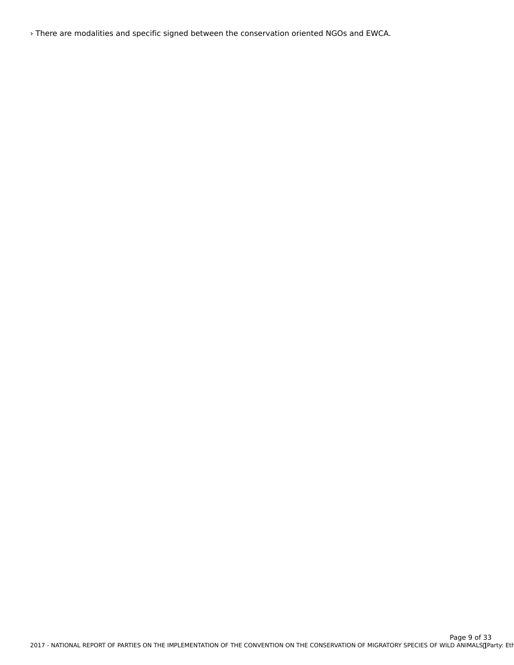› There are modalities and specific signed between the conservation oriented NGOs and EWCA.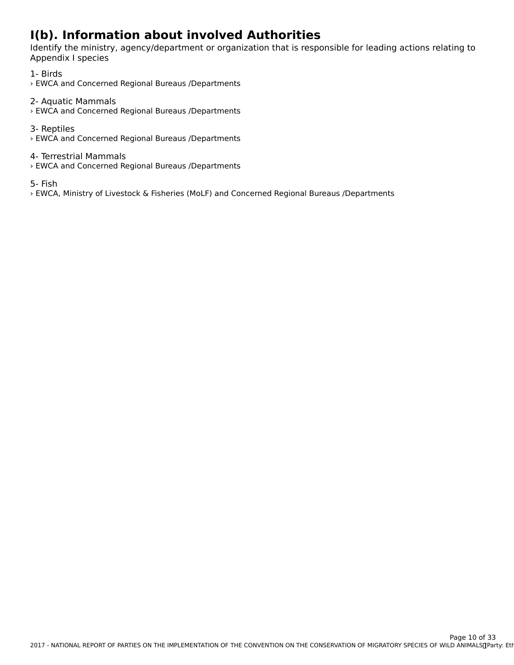## **I(b). Information about involved Authorities**

Identify the ministry, agency/department or organization that is responsible for leading actions relating to Appendix I species

1- Birds › EWCA and Concerned Regional Bureaus /Departments

2- Aquatic Mammals › EWCA and Concerned Regional Bureaus /Departments

3- Reptiles › EWCA and Concerned Regional Bureaus /Departments

4- Terrestrial Mammals **-** Terrestrial Marificials<br>> EWCA and Concerned Regional Bureaus /Departments

5- Fish

› EWCA, Ministry of Livestock & Fisheries (MoLF) and Concerned Regional Bureaus /Departments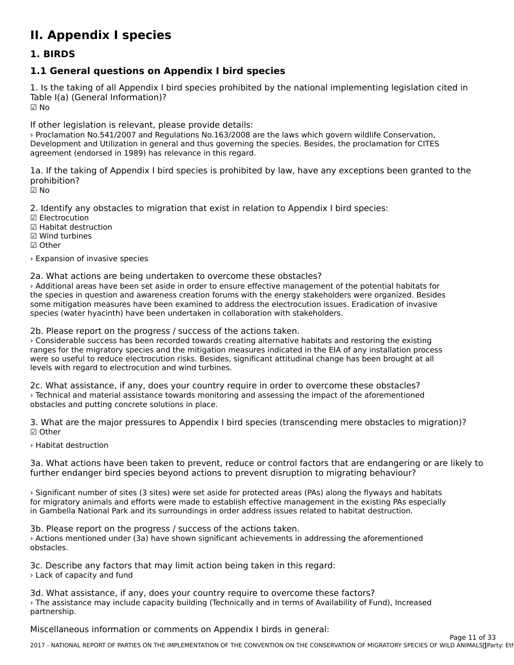## **II. Appendix I species**

### **1. BIRDS**

## **1.1 General questions on Appendix I bird species**

1. Is the taking of all Appendix I bird species prohibited by the national implementing legislation cited in Table I(a) (General Information)? ☑ No

If other legislation is relevant, please provide details:

› Proclamation No.541/2007 and Regulations No.163/2008 are the laws which govern wildlife Conservation, Development and Utilization in general and thus governing the species. Besides, the proclamation for CITES agreement (endorsed in 1989) has relevance in this regard.

1a. If the taking of Appendix I bird species is prohibited by law, have any exceptions been granted to the prohibition?

☑ No

2. Identify any obstacles to migration that exist in relation to Appendix I bird species:

☑ Electrocution

☑ Habitat destruction

☑ Wind turbines☑ Other

› Expansion of invasive species

2a. What actions are being undertaken to overcome these obstacles?

› Additional areas have been set aside in order to ensure effective management of the potential habitats for the species in question and awareness creation forums with the energy stakeholders were organized. Besides some mitigation measures have been examined to address the electrocution issues. Eradication of invasive species (water hyacinth) have been undertaken in collaboration with stakeholders.

2b. Please report on the progress / success of the actions taken.

› Considerable success has been recorded towards creating alternative habitats and restoring the existing ranges for the migratory species and the mitigation measures indicated in the EIA of any installation process ranges for the migratory species and the mitigation measures indicated in the EIA or any instandition proce<br>were so useful to reduce electrocution risks. Besides, significant attitudinal change has been brought at all were so useful to require electrocution risks. Besides,<br>levels with regard to electrocution and wind turbines.

2c. What assistance, if any, does your country require in order to overcome these obstacles? › Technical and material assistance towards monitoring and assessing the impact of the aforementioned **Figure 2** is and material assistance towards monitoring concrete solutions in place.

3. What are the major pressures to Appendix I bird species (transcending mere obstacles to migration)? ☑ Other

› Habitat destruction

3a. What actions have been taken to prevent, reduce or control factors that are endangering or are likely to further endanger bird species beyond actions to prevent disruption to migrating behaviour?

› Significant number of sites (3 sites) were set aside for protected areas (PAs) along the flyways and habitats For migratory animals and efforts were made to establish effective management in the existing PAs especially<br>for migratory animals and efforts were made to establish effective management in the existing PAs especially in Gambella National Park and its surroundings in order address issues related to habitat destruction.

3b. Please report on the progress / success of the actions taken. › Actions mentioned under (3a) have shown significant achievements in addressing the aforementioned obstacles.

3c. Describe any factors that may limit action being taken in this regard: › Lack of capacity and fund

3d. What assistance, if any, does your country require to overcome these factors? › The assistance may include capacity building (Technically and in terms of Availability of Fund), Increased rine assista<br>partnership.

Miscellaneous information or comments on Appendix I birds in general: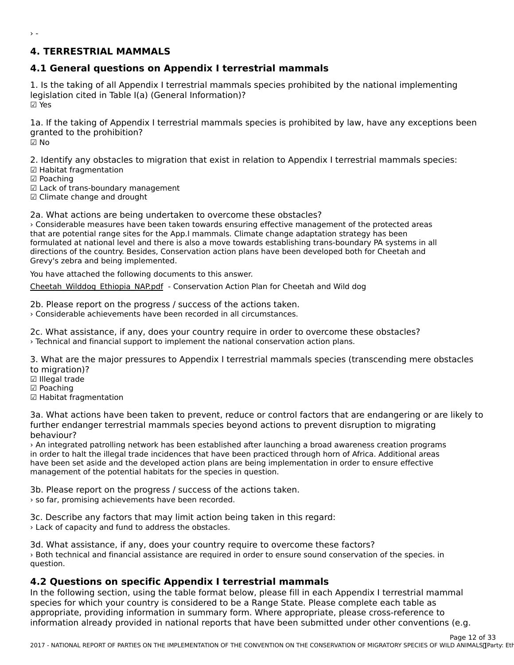### **4. TERRESTRIAL MAMMALS**

## **4.1 General questions on Appendix I terrestrial mammals**

1. Is the taking of all Appendix I terrestrial mammals species prohibited by the national implementing<br>Is vidation sited in Table I(a) (General Information)? legislation cited in Table I(a) (General Information)? ☑ Yes

1a. If the taking of Appendix I terrestrial mammals species is prohibited by law, have any exceptions been Ia. If the taking of Appendi<br>granted to the prohibition?

☑ No

 $\rightarrow$  -

2. Identify any obstacles to migration that exist in relation to Appendix I terrestrial mammals species:

- ☑ Habitat fragmentation
- ☑ Poaching

☑ Lack of trans-boundary management

☑ Climate change and drought

2a. What actions are being undertaken to overcome these obstacles?

› Considerable measures have been taken towards ensuring effective management of the protected areasthat are potential range sites for the App.I mammals. Climate change adaptation strategy has been formulated at national level and there is also a move towards establishing trans-boundary PA systems in all directions of the country. Besides, Conservation action plans have been developed both for Cheetah and airections of the country. Besides, Cons<br>Grevy's zebra and being implemented.

You have attached the following documents to this answer.

[Cheetah\\_Wilddog\\_Ethiopia\\_NAP.pdf](http://cms-ort.ort-production.linode.unep-wcmc.org/answers/2553785/documents/1652) - Conservation Action Plan for Cheetah and Wild dog

2b. Please report on the progress / success of the actions taken. › Considerable achievements have been recorded in all circumstances.

2c. What assistance, if any, does your country require in order to overcome these obstacles? › Technical and financial support to implement the national conservation action plans.

3. What are the major pressures to Appendix I terrestrial mammals species (transcending mere obstacles to migration)?

- 
- ເບ migration)<br>☑ Illegal trade
- ⊠ inegai ua<br>☑ Poaching
- ☑ Habitat fragmentation

3a. What actions have been taken to prevent, reduce or control factors that are endangering or are likely to further endanger terrestrial mammals species beyond actions to prevent disruption to migrating behaviour?

› An integrated patrolling network has been established after launching a broad awareness creation programs in order to halt the illegal trade incidences that have been practiced through horn of Africa. Additional areas In order to hait the megaritrade incidences that have been practiced through nom or Amca. Additional area<br>have been set aside and the developed action plans are being implementation in order to ensure effective management of the potential habitats for the species in question.

3b. Please report on the progress / success of the actions taken. › so far, promising achievements have been recorded.

3c. Describe any factors that may limit action being taken in this regard: › Lack of capacity and fund to address the obstacles.

3d. What assistance, if any, does your country require to overcome these factors? › Both technical and financial assistance are required in order to ensure sound conservation of the species. in question.

## **4.2 Questions on specific Appendix I terrestrial mammals**

In the following section, using the table format below, please fill in each Appendix I terrestrial mammal<br>In the following section, using the table format below, please fill in each Appendix I terrestrial mammal  $\alpha$  provided in the provided in summary is considered to be a nature. These complete each table as appropriate, providing information in submitted virtue appropriate, prease cross-repetitions (e.g., a) information already provided in national reports that have been submitted under other conventions (e.g.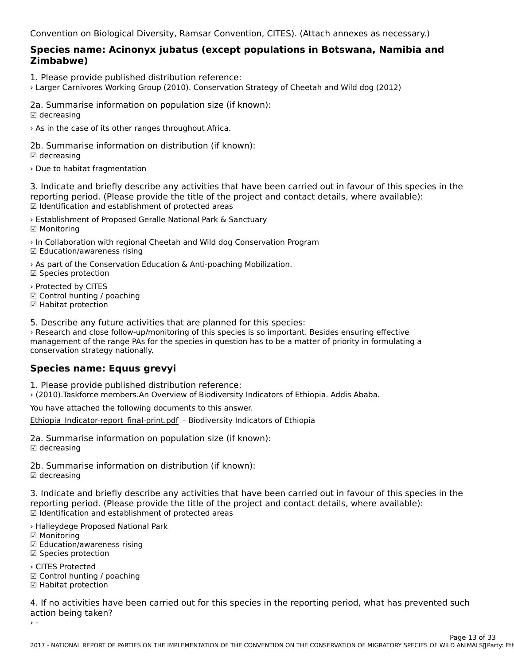Convention on Biological Diversity, Ramsar Convention, CITES). (Attach annexes as necessary.)

# **Species name: Acinonyx jubatus (except populations in Botswana, Namibia and Zimbabwe)**

1. Please provide published distribution reference:

› Larger Carnivores Working Group (2010). Conservation Strategy of Cheetah and Wild dog (2012)

2a. Summarise information on population size (if known):  $\boxdot$  decreasing

› As in the case of its other ranges throughout Africa.

2b. Summarise information on distribution (if known): ☑ decreasing

› Due to habitat fragmentation

3. Indicate and briefly describe any activities that have been carried out in favour of this species in the strain the species in the species of the property of the property of the species of the property of the projection reporting period. (Please provide the title of the project and contact details, where available): ☑ Identification and establishment of protected areas

› Establishment of Proposed Geralle National Park & Sanctuary ☑ Monitoring

› In Collaboration with regional Cheetah and Wild dog Conservation Program ☑ Education/awareness rising

› As part of the Conservation Education & Anti-poaching Mobilization. ☑ Species protection

› Protected by CITES ☑ Control hunting / poaching ☑ Habitat protection□ Habitat protection

5. Describe any future activities that are planned for this species:

› Research and close follow-up/monitoring of this species is so important. Besides ensuring effective X Research and close follow-up/monitoring of this species is so important. Besides ensuring enective<br>management of the range PAs for the species in question has to be a matter of priority in formulating a conservation strategy nationally.

## **Species name: Equus grevyi**

1. Please provide published distribution reference:

› (2010).Taskforce members.An Overview of Biodiversity Indicators of Ethiopia. Addis Ababa.

You have attached the following documents to this answer.

Ethiopia Indicator-report final-print.pdf - Biodiversity Indicators of Ethiopia

2a. Summarise information on population size (if known):  $\boxdot$  decreasing

2b. Summarise information on distribution (if known):  $\boxdot$  decreasing

3. Indicate and briefly describe any activities that have been carried out in favour of this species in the procession the reporting period. (Please provide the title of the project and contact details, where available): reporting period. (i lease provide the title of the<br>☑ Identification and establishment of protected areas

› Halleydege Proposed National Park ☑ Monitoring

☑ Monitoring

☑ Education/awareness rising⊠ Luucation, awarent

☑ Species protection

› CITES Protected ☑ Control hunting / poaching ☑ Habitat protection☑ Habitat protection

4. If no activities have been carried out for this species in the reporting period, what has prevented such action being taken?

 $\rightarrow$  -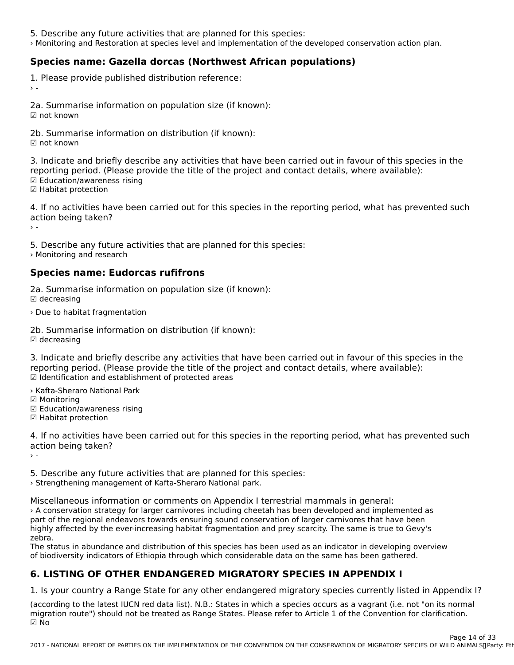- 5. Describe any future activities that are planned for this species:
- › Monitoring and Restoration at species level and implementation of the developed conservation action plan.

## **Species name: Gazella dorcas (Northwest African populations)**

1. Please provide published distribution reference:

2a. Summarise information on population size (if known): ☑ not known

2b. Summarise information on distribution (if known): ☑ not known

3. Indicate and briefly describe any activities that have been carried out in favour of this species in the procession the reporting period. (Please provide the title of the project and contact details, where available): reporting period: (i lease pi<br>☑ Education/awareness rising ☑ Luucation/awarent<br>☑ Habitat protection

4. If no activities have been carried out for this species in the reporting period, what has prevented such action being taken:

5. Describe any future activities that are planned for this species:

» Monitoring and research

## **Species name: Eudorcas rufifrons**

2a. Summarise information on population size (if known): ☑ decreasing

› Due to habitat fragmentation

2b. Summarise information on distribution (if known): ☑ decreasing

3. Indicate and briefly describe any activities that have been carried out in favour of this species in the reporting period. (Please provide the title of the project and contact details, where available):reporting period. (Please provide the title of the project and contact details, where available): ☑ Identification and establishment of protected areas

› Kafta-Sheraro National Park

☑ Monitoring

- ☑ Education/awareness rising ☑ Habitat protection
- ☑ Habitat protection

4. If no activities have been carried out for this species in the reporting period, what has prevented such action being taken?

 $\rightarrow$  -

5. Describe any future activities that are planned for this species: › Strengthening management of Kafta-Sheraro National park.

Miscellaneous information or comments on Appendix I terrestrial mammals in general:› A conservation strategy for larger carnivores including cheetah has been developed and implemented aspart of the regional endeavors towards ensuring sound conservation of larger carnivores that have been highly affected by the ever-increasing habitat fragmentation and prey scarcity. The same is true to Gevy's zebra.

zebia.<br>The status in abundance and distribution of this species has been used as an indicator in developing overview<br>of Ethiopia through which considerable data on the same has been gathered. of biodiversity indicators of Ethiopia through which considerable data on the same has been gathered.

### **6. LISTING OF OTHER ENDANGERED MIGRATORY SPECIES IN APPENDIX I**

1. Is your country a Range State for any other endangered migratory species currently listed in Appendix I?

(according to the latest IUCN red data list). N.B.: States in which a species occurs as a vagrant (i.e. not "on its normal") migration route") should not be treated as Range States. Please refer to Article 1 of the Convention for clarification. ☑ No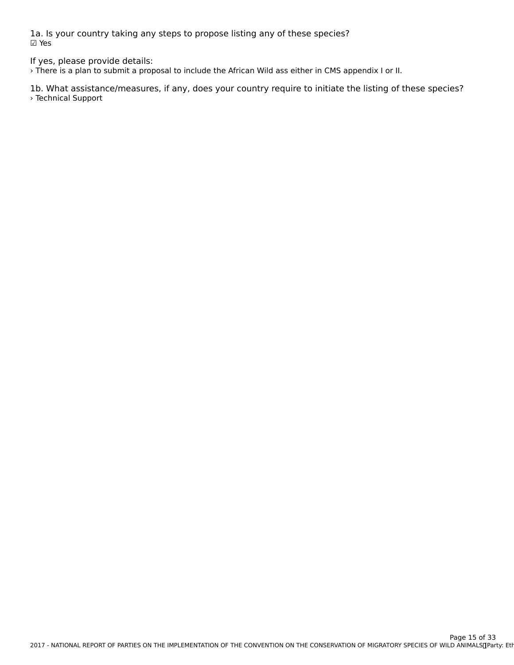1a. Is your country taking any steps to propose listing any of these species? ☑ Yes

If yes, please provide details:

› There is a plan to submit a proposal to include the African Wild ass either in CMS appendix I or II.

1b. What assistance/measures, if any, does your country require to initiate the listing of these species? › Technical Support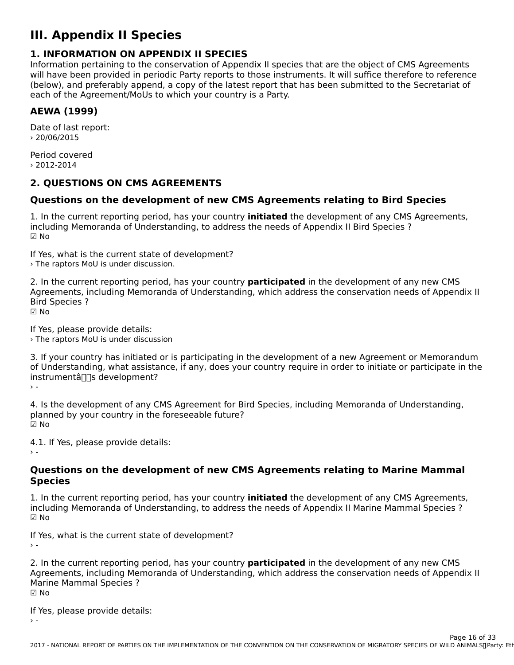## **III. Appendix II Species**

### **1. INFORMATION ON APPENDIX II SPECIES**

**I. INTORMATION ON AFFENDIX II SFECIES**<br>Information pertaining to the conservation of Appendix II species that are the object of CMS Agreements will have been provided in periodic Party reports to those instruments. It will suffice therefore to reference will have been provided in periodic rarty reports to those instruments. It will suffice therefore to reference<br>(below), and preferably append, a copy of the latest report that has been submitted to the Secretariat of each of the Agreement/MoUs to which your country is a Party.

## **AEWA (1999)**

Date of last report: › 20/06/2015

Period covered› 2012-2014

## **2. QUESTIONS ON CMS AGREEMENTS**

## **Questions on the development of new CMS Agreements relating to Bird Species**

1. In the current reporting period, has your country **initiated** the development of any CMS Agreements, I. In the current reporting period, has your country **initiated** the development or any civis<br>including Memoranda of Understanding, to address the needs of Appendix II Bird Species ? ☑ No

If Yes, what is the current state of development? › The raptors MoU is under discussion.

2. In the current reporting period, has your country **participated** in the development of any new CMS 2. In the current reporting period, has your country **participated** in the development or any new civis<br>Agreements, including Memoranda of Understanding, which address the conservation needs of Appendix II Bird Species ?<br>☑ No

If Yes, please provide details: › The raptors MoU is under discussion

3. If your country has initiated or is participating in the development of a new Agreement or Memorandum of Understanding, what assistance, if any, does your country require in order to initiate or participate in theon onderstanding, what assistance, if any, does your country require in order to initiate or participate in the<br>instrumental  $\frac{1}{2}$ 

4. Is the development of any CMS Agreement for Bird Species, including Memoranda of Understanding, planned by your country in the foreseeable future? ☑ No

4.1. If Yes, please provide details:

### **Questions on the development of new CMS Agreements relating to Marine Mammal SpeciesSpecies**

1. In the current reporting period, has your country **initiated** the development of any CMS Agreements, including Memoranda of Understanding, to address the needs of Appendix II Marine Mammal Species ? ☑ No

If Yes, what is the current state of development?› -

2. In the current reporting period, has your country **participated** in the development of any new CMS<br>Agreements, including Memoranda of Understanding, which address the conservation needs of Appendix II Algebra Mammal Special Special Control of United Stations (Will Good State Conservation Recus of Appendix In A<br>Marine Mammal Special Special Special Special Special Special Special Special Special Special Special Special **Marine Mammal Species ?** יימויי<br>i⊠ No

If Yes, please provide details:› -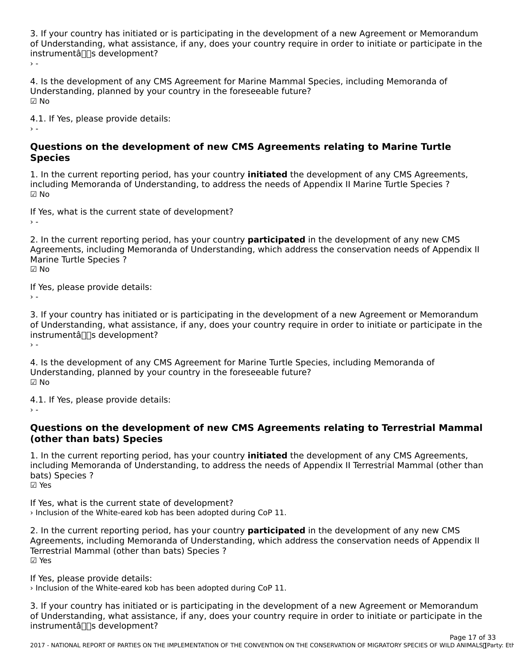3. If your country has initiated or is participating in the development of a new Agreement or Memorandum of Understanding, what assistance, if any, does your country require in order to initiate or participate in the or onderstanding, what assista<br>instrumentâ∏∏s development?

 $\rightarrow$  -

4. Is the development of any CMS Agreement for Marine Mammal Species, including Memoranda of onderstanding, planned by your country in the foreseedbie future:  $\boxdot$  No

4.1. If Yes, please provide details:  $\rightarrow$  -

### **Questions on the development of new CMS Agreements relating to Marine Turtle SpeciesSpecies**

1. In the current reporting period, has your country **initiated** the development of any CMS Agreements, mentaling memoranda or onderstanding, to dudiess the necas or Appendix in marme fartie species :  $\boxtimes$  No

If Yes, what is the current state of development?

 $\rightarrow$   $-$ 

2. In the current reporting period, has your country **participated** in the development of any new CMS 2. In the current reporting period, has your country participated in the development or any new circle.<br>Agreements, including Memoranda of Understanding, which address the conservation needs of Appendix II Marine Turtle Species ?

☑ No

If Yes, please provide details:

3. If your country has initiated or is participating in the development of a new Agreement or Memorandum of Understanding, what assistance, if any, does your country require in order to initiate or participate in the<br>of Understanding, what assistance, if any, does your country require in order to initiate or participate in th or onderstanding, what assista<br>instrumentâ∏∏s development?  $\rightarrow$  -

4. Is the development of any CMS Agreement for Marine Turtle Species, including Memoranda of Understanding, planned by your country in the foreseeable future? ☑ No

4.1. If Yes, please provide details:

### **Questions on the development of new CMS Agreements relating to Terrestrial Mammal (other than bats) Species**(other than bats) Species

1. In the current reporting period, has your country **initiated** the development of any CMS Agreements,<br>including Memoranda of Understanding, to address the needs of Appendix U.Terrestrial Mammal (other than including Memoranda of Understanding, to address the needs of Appendix II Terrestrial Mammal (other than nicidumg menic<br>bats) Species ? ☑ Yes

If Yes, what is the current state of development? In tes, what is the current state of development:<br>> Inclusion of the White-eared kob has been adopted during CoP 11.

2. In the current reporting period, has your country **participated** in the development of any new CMS z. In the current reporting period, has your country **participated** in the development or any new civis<br>Agreements, including Memoranda of Understanding, which address the conservation needs of Appendix II Agreements, including memoranda or ondersta<br>Terrestrial Mammal (other than bats) Species ? ☑ Yes

If Yes, please provide details:

› Inclusion of the White-eared kob has been adopted during CoP 11.

3. If your country has initiated or is participating in the development of a new Agreement or Memorandum of Understanding, what assistance, if any, does your country require in order to initiate or participate in the<br>of Understanding, what assistance, if any, does your country require in order to initiate or participate in th or onderstanding, what assista<br>instrumentâ∏∏s development?

2017 - NATIONAL REPORT OF PARTIES ON THE IMPLEMENTATION OF THE CONVENTION ON THE CONSERVATION OF MIGRATORY SPECIES OF WILD ANIMALS OF A LIMI Page 17 of 33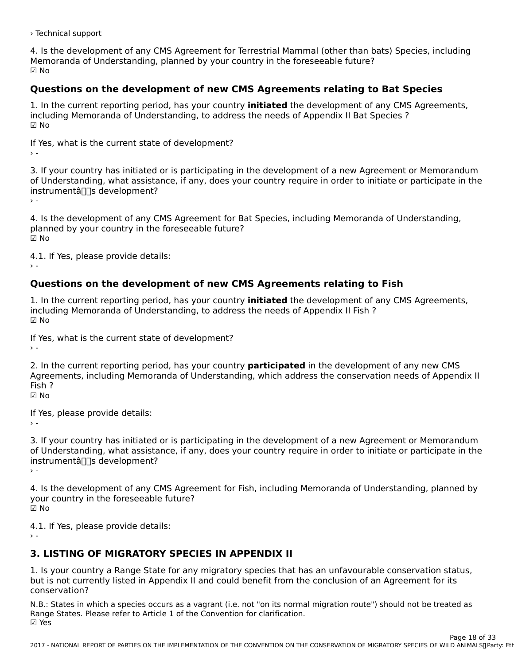› Technical support

4. Is the development of any CMS Agreement for Terrestrial Mammal (other than bats) Species, including<br>Memoranda of the contractives also and by your country in the foreseeable future? Memoranda of Understanding, planned by your country in the foreseeable future? ☑ No

## **Questions on the development of new CMS Agreements relating to Bat Species**

1. In the current reporting period, has your country **initiated** the development of any CMS Agreements, I. In the current reporting period, has your country **initiated** the development of any CMS<br>including Memoranda of Understanding, to address the needs of Appendix II Bat Species ? ☑ No

If Yes, what is the current state of development?  $\rightarrow$   $-$ 

3. If your country has initiated or is participating in the development of a new Agreement or Memorandum of Understanding, what assistance, if any, does your country require in order to initiate or participate in theon onderstanding, what assistance, if any, does your country require in order to initiate or participate in the<br>instrumental influences  $\frac{1}{2}$ 

4. Is the development of any CMS Agreement for Bat Species, including Memoranda of Understanding, planned by your country in the ioresecubic ruture:<br>Fills  $\boxtimes$  No

4.1. If Yes, please provide details:

## **Questions on the development of new CMS Agreements relating to Fish**

1. In the current reporting period, has your country **initiated** the development of any CMS Agreements, I. In the current reporting period, has your country **initiated** the development or a<br>including Memoranda of Understanding, to address the needs of Appendix II Fish ? ☑ No

If Yes, what is the current state of development?

2. In the current reporting period, has your country **participated** in the development of any new CMS 2. In the current reporting period, has your country **participated** in the development or any new civis<br>Agreements, including Memoranda of Understanding, which address the conservation needs of Appendix II Fish ?<br>ମ No

If Yes, please provide details:

3. If your country has initiated or is participating in the development of a new Agreement or Memorandum of Understanding, what assistance, if any, does your country require in order to initiate or participate in theon onderstanding, what assistance, if any, does your country require in order to initiate or participate in the<br>instrumental  $\frac{1}{2}$ 

4. Is the development of any CMS Agreement for Fish, including Memoranda of Understanding, planned by your country in the foreseeable future? ☑ No

4.1. If Yes, please provide details:

## **3. LISTING OF MIGRATORY SPECIES IN APPENDIX II**

1. Is your country a Range State for any migratory species that has an unfavourable conservation status, but is not currently listed in Appendix II and could benefit from the conclusion of an Agreement for its conservation?

N.B.: States in which a species occurs as a vagrant (i.e. not "on its normal migration route") should not be treated as Range States. Please refer to Article 1 of the Convention for clarification.Range States. Please refer to Article 1 of the Convention for clarification.<br>☑ Yes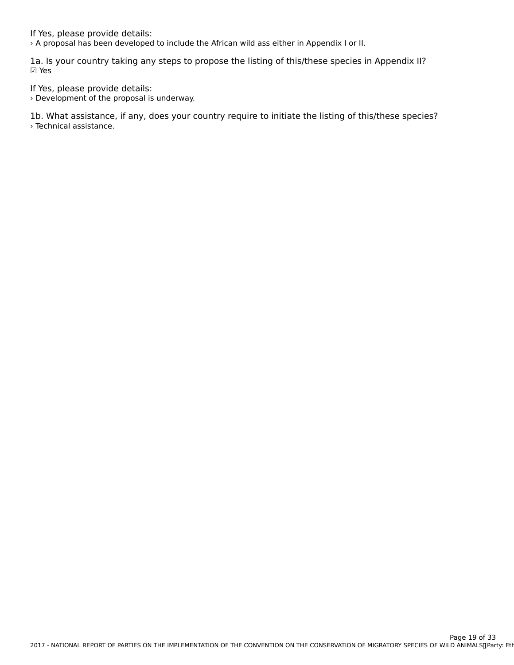If Yes, please provide details:

› A proposal has been developed to include the African wild ass either in Appendix I or II.

1a. Is your country taking any steps to propose the listing of this/these species in Appendix II? ☑ Yes

If Yes, please provide details:

› Development of the proposal is underway.

1b. What assistance, if any, does your country require to initiate the listing of this/these species? › Technical assistance.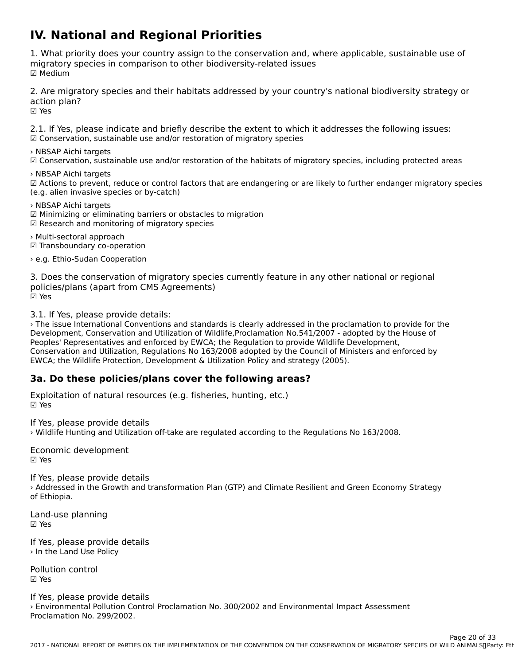## **IV. National and Regional Priorities**

1. What priority does your country assign to the conservation and, where applicable, sustainable use of migratory species in comparison to other biodiversity-related issues mığı acor y<br>☑ Medium

2. Are migratory species and their habitats addressed by your country's national biodiversity strategy or action plan?<br>☑ Yes

2.1. If Yes, please indicate and briefly describe the extent to which it addresses the following issues: ☑ Conservation, sustainable use and/or restoration of migratory species

› NBSAP Aichi targets

∕ wb3Ar Aichi targets<br>☑ Conservation, sustainable use and/or restoration of the habitats of migratory species, including protected areas

› NBSAP Aichi targets

∠WDSAT AICIII targets<br>
∴MDSAT AICIII targets<br>
∴MDSAT AICIII targets or control factors that are endangering or are likely to further endanger migratory species (e.g. alien invasive species or by-catch)

› NBSAP Aichi targets ∕ NDJAP AICH targets<br>☑ Minimizing or eliminating barriers or obstacles to migration

› Multi-sectoral approach ∕ ™ulti-sectoral approacti<br>☑ Transboundary co-operation

› e.g. Ethio-Sudan Cooperation

3. Does the conservation of migratory species currently feature in any other national or regional policies/plans (apart from CMS Agreements) ☑ Yes

3.1. If Yes, please provide details:

› The issue International Conventions and standards is clearly addressed in the proclamation to provide for the Development, Conservation and Utilization of Wildlife,Proclamation No.541/2007 - adopted by the House of Peoples' Representatives and enforced by EWCA; the Regulation to provide Wildlife Development, reopies Representatives and enforced by EWCA, the Regulation to provide whalle Beveropment,<br>Conservation and Utilization, Regulations No 163/2008 adopted by the Council of Ministers and enforced by EWCA; the Wildlife Protection, Development & Utilization Policy and strategy (2005).

## **3a. Do these policies/plans cover the following areas?**

Exploitation of natural resources (e.g. fisheries, hunting, etc.) ☑ Yes

If Yes, please provide details

› Wildlife Hunting and Utilization off-take are regulated according to the Regulations No 163/2008.

Economic development ☑ Yes

If Yes, please provide details 1 Tes, prease provide details<br>> Addressed in the Growth and transformation Plan (GTP) and Climate Resilient and Green Economy Strategy

Land-use planning  $\boxtimes$  Yes

If Yes, please provide details › In the Land Use Policy

Pollution control☑ Yes

If Yes, please provide details n Tes, prease provide details<br>> Environmental Pollution Control Proclamation No. 300/2002 and Environmental Impact Assessment<br>Proclamation No. 2006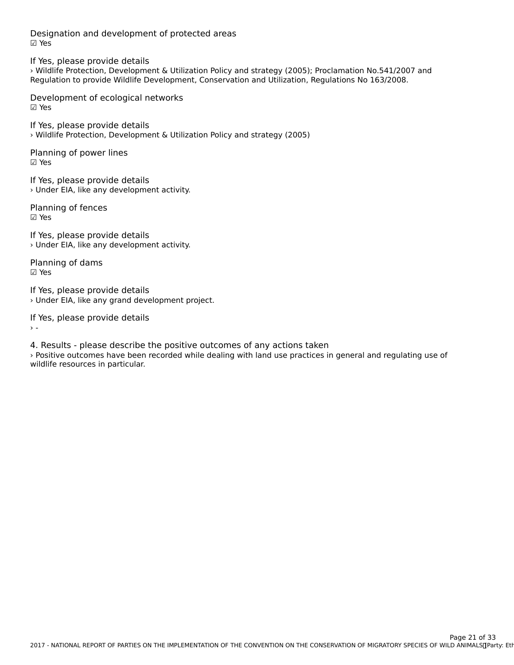Designation and development of protected areas ☑ Yes

If Yes, please provide details › Wildlife Protection, Development & Utilization Policy and strategy (2005); Proclamation No.541/2007 and Regulation to provide Wildlife Development, Conservation and Utilization, Regulations No 163/2008.

Development of ecological networks☑ Yes

If Yes, please provide details › Wildlife Protection, Development & Utilization Policy and strategy (2005)

Planning of power lines ☑ Yes

If Yes, please provide details › Under EIA, like any development activity.

Planning of fences ☑ Yes

If Yes, please provide details › Under EIA, like any development activity.

Planning of dams ☑ Yes

If Yes, please provide details › Under EIA, like any grand development project.

If Yes, please provide details

4. Results - please describe the positive outcomes of any actions taken › Positive outcomes have been recorded while dealing with land use practices in general and regulating use of *r* rositive outcomes nave been<br>wildlife resources in particular.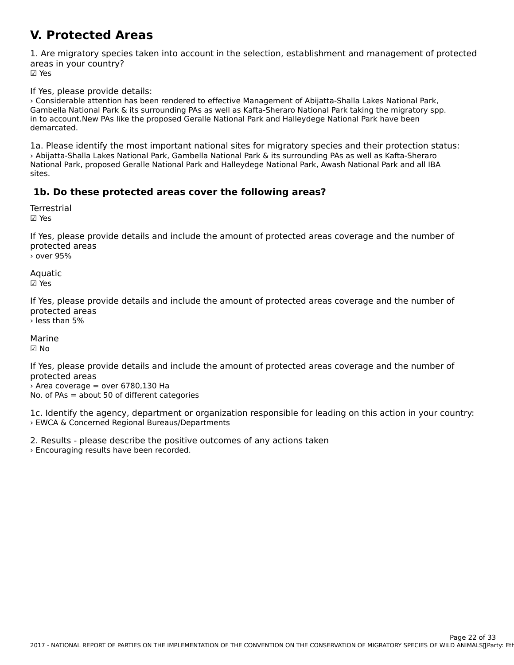### **V. Protected Areas**

1. Are migratory species taken into account in the selection, establishment and management of protected areas in your country? ur∈u∍<br>☑ Yes

If Yes, please provide details:

› Considerable attention has been rendered to effective Management of Abijatta-Shalla Lakes National Park, Gambella National Park & its surrounding PAs as well as Kafta-Sheraro National Park taking the migratory spp.<br>Gambella National Park & its surrounding PAs as well as Kafta-Sheraro National Park taking the migratory spp. ni to account.New rAS like the proposed Geralle National Fark and Halleydege National Fark have been demarcated.

1a. Please identify the most important national sites for migratory species and their protection status: › Abijatta-Shalla Lakes National Park, Gambella National Park & its surrounding PAs as well as Kafta-Sheraro National Park, proposed Geralle National Park and Halleydege National Park, Awash National Park and all IBA sites.

## **1b. Do these protected areas cover the following areas?**

**Terrestrial** ☑ Yes

If Yes, please provide details and include the amount of protected areas coverage and the number of protected areasprotected areas › over 95%

Aquatic ☑ Yes

If Yes, please provide details and include the amount of protected areas coverage and the number of protected areas

› less than 5%

Marine☑ No

If Yes, please provide details and include the amount of protected areas coverage and the number of protected areas

 $\rightarrow$  Area coverage = over 6780.130 Ha No. of PAs = about 50 of different categories

1c. Identify the agency, department or organization responsible for leading on this action in your country: › EWCA & Concerned Regional Bureaus/Departments

2. Results - please describe the positive outcomes of any actions taken

2. Results prease describe the positive recorded.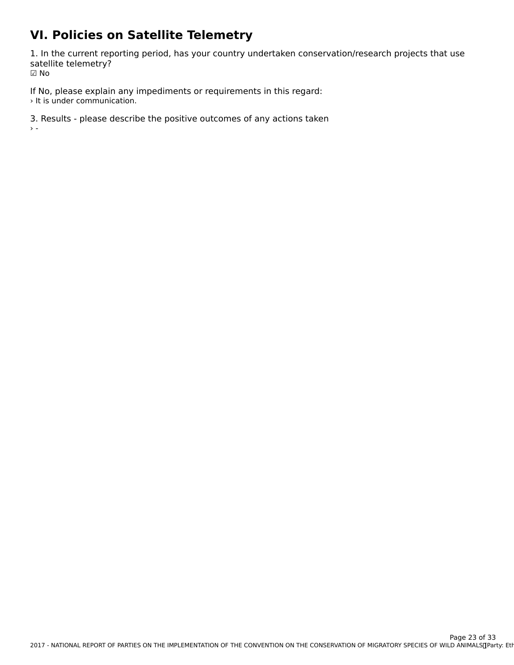## **VI. Policies on Satellite Telemetry**

1. In the current reporting period, has your country undertaken conservation/research projects that use satellite telemetry? ☑ No

If No, please explain any impediments or requirements in this regard: › It is under communication.

3. Results - please describe the positive outcomes of any actions taken › -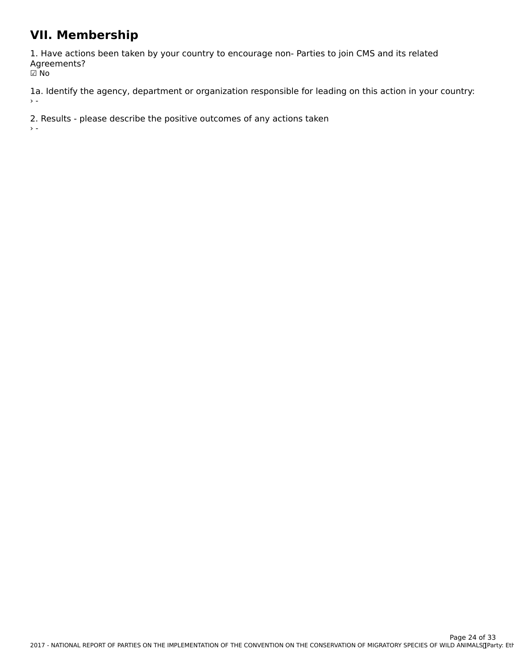## **VII. Membership**

1. Have actions been taken by your country to encourage non- Parties to join CMS and its related Agreements? י⊃ישר<br>D No

1a. Identify the agency, department or organization responsible for leading on this action in your country:  $\rightarrow$   $\sim$ 

2. Results - please describe the positive outcomes of any actions taken

 $\bar{\Sigma}$  =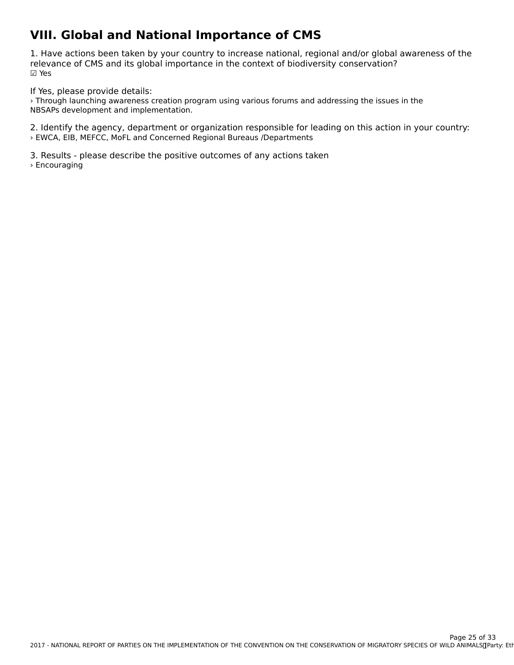## **VIII. Global and National Importance of CMS**

1. Have actions been taken by your country to increase national, regional and/or global awareness of the<br>relevance of CMS and its global importance in the context of biodiversity conservation? relevance of CMS and its global importance in the context of biodiversity conservation? ☑ Yes

If Yes, please provide details:

n Tes, prease provide details.<br>> Through launching awareness creation program using various forums and addressing the issues in the NBSAPs development and implementation.

2. Identify the agency, department or organization responsible for leading on this action in your country: › EWCA, EIB, MEFCC, MoFL and Concerned Regional Bureaus /Departments

3. Results - please describe the positive outcomes of any actions taken › Encouraging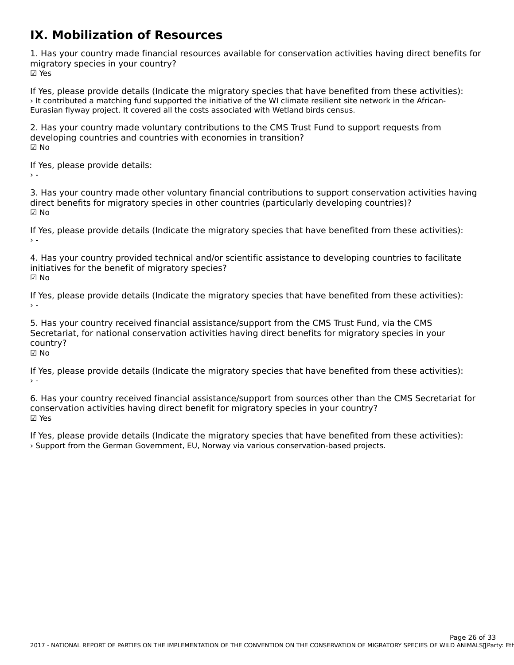### **IX. Mobilization of Resources**

1. Has your country made financial resources available for conservation activities having direct benefits for ☑ Yes

If Yes, please provide details (Indicate the migratory species that have benefited from these activities):<br>It contributed a matching fund supported the initiative of the WI climate resilient site network in the African Eurasian flyway project. It covered all the costs associated with Wetland birds census.

2. Has your country made voluntary contributions to the CMS Trust Fund to support requests from developing countries and countries with economies in transition? ☑ No

If Yes, please provide details:

 $\sim$   $-$ 

3. Has your country made other voluntary financial contributions to support conservation activities having direct benefits for migratory species in other countries (particularly developing countries)? ☑ No

If Yes, please provide details (Indicate the migratory species that have benefited from these activities):

4. Has your country provided technical and/or scientific assistance to developing countries to facilitate 4. Has your country provided technical and/or s<br>initiatives for the benefit of migratory species? ☑ No

If Yes, please provide details (Indicate the migratory species that have benefited from these activities):

5. Has your country received financial assistance/support from the CMS Trust Fund, via the CMS Secretariat, for national conservation activities having direct benefits for migratory species in your country?country?<br>☑ No

If Yes, please provide details (Indicate the migratory species that have benefited from these activities):

6. Has your country received financial assistance/support from sources other than the CMS Secretariat for conservation activities having direct benefit for migratory species in your country? ☑ Yes

If Yes, please provide details (Indicate the migratory species that have benefited from these activities): › Support from the German Government, EU, Norway via various conservation-based projects.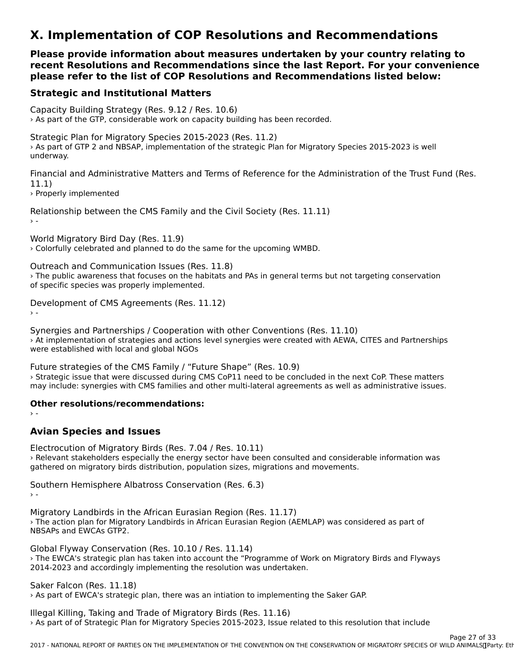## **X. Implementation of COP Resolutions and Recommendations**

**Please provide information about measures undertaken by your country relating to recent Resolutions and Recommendations since the last Report. For your convenience**recent Resolutions and Recommendations since the last Report. For your convenience **please refer to the list of COP Resolutions and Recommendations listed below:**

## **Strategic and Institutional Matters**

Capacity Building Strategy (Res. 9.12 / Res. 10.6) › As part of the GTP, considerable work on capacity building has been recorded.

Strategic Plan for Migratory Species 2015-2023 (Res. 11.2) Strategie Than for Phyratory Species 2015 2025 (Res. 11.2)<br>As part of GTP 2 and NBSAP, implementation of the strategic Plan for Migratory Species 2015-2023 is well underway.

Financial and Administrative Matters and Terms of Reference for the Administration of the Trust Fund (Res.  $11.1)$ 

› Properly implemented

Relationship between the CMS Family and the Civil Society (Res. 11.11)

World Migratory Bird Day (Res. 11.9) › Colorfully celebrated and planned to do the same for the upcoming WMBD.

Outreach and Communication Issues (Res. 11.8)

Out each and Communication issues (Res. 11.0)<br>> The public awareness that focuses on the habitats and PAs in general terms but not targeting conservation of specific species was properly implemented.

Development of CMS Agreements (Res. 11.12)

› -

Synergies and Partnerships / Cooperation with other Conventions (Res. 11.10) Synergies and Fartnerships / Cooperation with other conventions (i.e.s. 11.10)<br>At implementation of strategies and actions level synergies were created with AEWA, CITES and Partnerships were established with local and global NGOs

Future strategies of the CMS Family / "Future Shape" (Res. 10.9) › Strategic issue that were discussed during CMS CoP11 need to be concluded in the next CoP. These matters may include: synergies with CMS families and other multi-lateral agreements as well as administrative issues.

### **Other resolutions/recommendations:**

 $\rightarrow$  -

## **Avian Species and Issues**

Electrocution of Migratory Birds (Res. 7.04 / Res. 10.11) Liectrocution of migratory birds (r.e.s. 7.047) r.e.s. 10.11)<br>> Relevant stakeholders especially the energy sector have been consulted and considerable information was gathered on migratory birds distribution, population sizes, migrations and movements.

Southern Hemisphere Albatross Conservation (Res. 6.3)

Migratory Landbirds in the African Eurasian Region (Res. 11.17) › The action plan for Migratory Landbirds in African Eurasian Region (AEMLAP) was considered as part of **The action plan for Migra**<br>NBSAPs and EWCAs GTP2.

Global Flyway Conservation (Res. 10.10 / Res. 11.14) › The EWCA's strategic plan has taken into account the "Programme of Work on Migratory Birds and Flyways <sup>2</sup> The EWCA's strategic plan has taken into account the "Programme or wo<br>2014-2023 and accordingly implementing the resolution was undertaken.

Saker Falcon (Res. 11.18)

› As part of EWCA's strategic plan, there was an intiation to implementing the Saker GAP.

Illegal Killing, Taking and Trade of Migratory Birds (Res. 11.16) › As part of of Strategic Plan for Migratory Species 2015-2023, Issue related to this resolution that include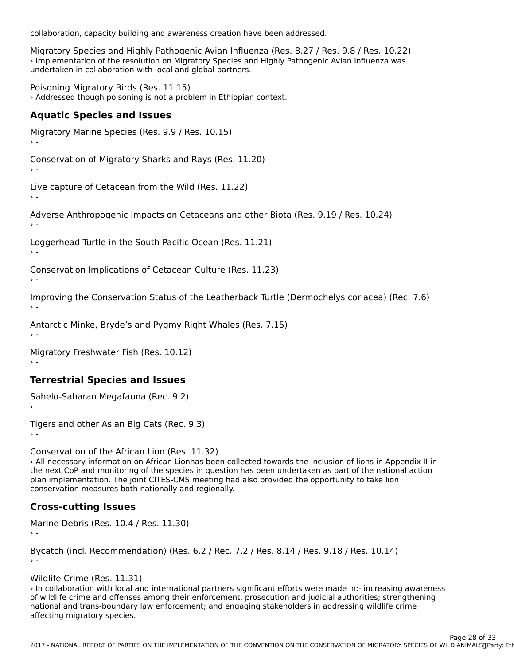collaboration, capacity building and awareness creation have been addressed.

Migratory Species and Highly Pathogenic Avian Influenza (Res. 8.27 / Res. 9.8 / Res. 10.22) > Implementation of the resolution on Migratory Species and Highly Pathogenic Avian Influenza was miplementation of the resolution on migratory species and internation with local and global partners.

Poisoning Migratory Birds (Res. 11.15) › Addressed though poisoning is not a problem in Ethiopian context.

## **Aquatic Species and Issues**

Migratory Marine Species (Res. 9.9 / Res. 10.15) Conservation of Migratory Sharks and Rays (Res. 11.20) Live capture of Cetacean from the Wild (Res. 11.22)

Adverse Anthropogenic Impacts on Cetaceans and other Biota (Res. 9.19 / Res. 10.24)

Loggerhead Turtle in the South Pacific Ocean (Res. 11.21)

Conservation Implications of Cetacean Culture (Res. 11.23)

Improving the Conservation Status of the Leatherback Turtle (Dermochelys coriacea) (Rec. 7.6)

Antarctic Minke, Bryde's and Pygmy Right Whales (Res. 7.15)

Migratory Freshwater Fish (Res. 10.12)

## **Terrestrial Species and Issues**

Sahelo-Saharan Megafauna (Rec. 9.2)

Tigers and other Asian Big Cats (Rec.  $9.3)$ 

Conservation of the African Lion (Res. 11.32)

› All necessary information on African Lionhas been collected towards the inclusion of lions in Appendix II in the next CoP and monitoring of the species in question has been undertaken as part of the national action the next constant momentary of the species in question has been undertaken as part of the hation<br>plan implementation. The joint CITES-CMS meeting had also provided the opportunity to take lion conservation measures both nationally and regionally.

## **Cross-cutting Issues**

Marine Debris (Res. 10.4 / Res. 11.30)

Bycatch (incl. Recommendation) (Res. 6.2 / Rec. 7.2 / Res. 8.14 / Res. 9.18 / Res. 10.14)

Wildlife Crime (Res. 11.31)

› In collaboration with local and international partners significant efforts were made in:- increasing awareness of wildlife crime and offenses among their enforcement, prosecution and judicial authorities; strengthening<br>of wildlife crime and offenses among their enforcement, prosecution and judicial authorities; strengthening or whalle crime and onenses among their emorcement; prosecution and judicial authorities, strengthe<br>national and trans-boundary law enforcement; and engaging stakeholders in addressing wildlife crime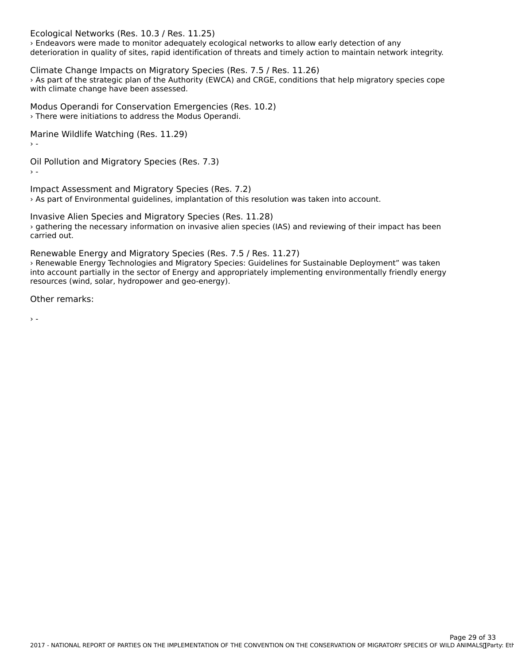Ecological Networks (Res. 10.3 / Res. 11.25)

› Endeavors were made to monitor adequately ecological networks to allow early detection of any deterioration in quality of sites, rapid identification of threats and timely action to maintain network integrity.

Climate Change Impacts on Migratory Species (Res. 7.5 / Res. 11.26) › As part of the strategic plan of the Authority (EWCA) and CRGE, conditions that help migratory species cope *A* As part of the strategic plan of the Addit<br>with climate change have been assessed.

Modus Operandi for Conservation Emergencies (Res. 10.2) › There were initiations to address the Modus Operandi.

Marine Wildlife Watching (Res. 11.29)

Oil Pollution and Migratory Species (Res. 7.3)

Impact Assessment and Migratory Species (Res. 7.2) › As part of Environmental guidelines, implantation of this resolution was taken into account.

Invasive Alien Species and Migratory Species (Res. 11.28) › gathering the necessary information on invasive alien species (IAS) and reviewing of their impact has been carried out.

Renewable Energy and Migratory Species (Res. 7.5 / Res. 11.27)

› Renewable Energy Technologies and Migratory Species: Guidelines for Sustainable Deployment" was taken The intervalue Energy rechnologies and migratory opecies. Guidennes for ourstanding epotyment was taken into account partially in the sector of Energy and appropriately implementing environmentally friendly energy resources (wind, solar, hydropower and geo-energy).

Other remarks:

 $\rightarrow$  -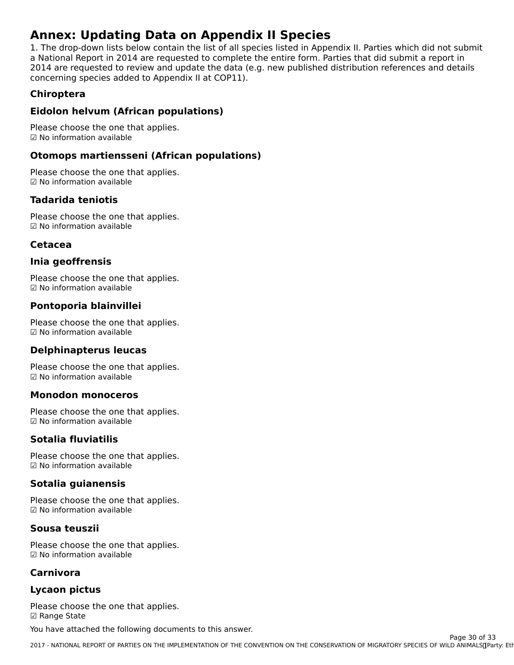## **Annex: Updating Data on Appendix II Species**

1. The drop-down lists below contain the list of all species listed in Appendix II. Parties which did not submit a Transport in 1983 below contain the fist of all species fisted in Appendix in Farties which did not submit<br>a National Report in 2014 are requested to complete the entire form. Parties that did submit a report in a wational Report in 2014 are requested to complete the entire form. Farties that did submit a report in<br>2014 are requested to review and update the data (e.g. new published distribution references and details concerning species added to Appendix II at COP11).

## **Chiroptera**

## **Eidolon helvum (African populations)**

Please choose the one that applies. ☑ No information available

## **Otomops martiensseni (African populations)**

Please choose the one that applies. ☑ No information available

### **Tadarida teniotis**

Please choose the one that applies. ☑ No information available

### **Cetacea**

## **Inia geoffrensis**

Please choose the one that applies. r rease crioose the one tr<br>☑ No information available

## **Pontoporia blainvillei**

Please choose the one that applies. ☑ No information available

### **Delphinapterus leucas**

Please choose the one that applies. ☑ No information available

### **Monodon monoceros**

Please choose the one that applies. ☑ No information available

### **Sotalia fluviatilis**

Please choose the one that applies. ☑ No information available

## **Sotalia guianensis**

Please choose the one that applies. ☑ No information available

### **Sousa teuszii**

Please choose the one that applies. ☑ No information available

### **Carnivora**

## **Lycaon pictus**

Please choose the one that applies. ☑ Range State

You have attached the following documents to this answer.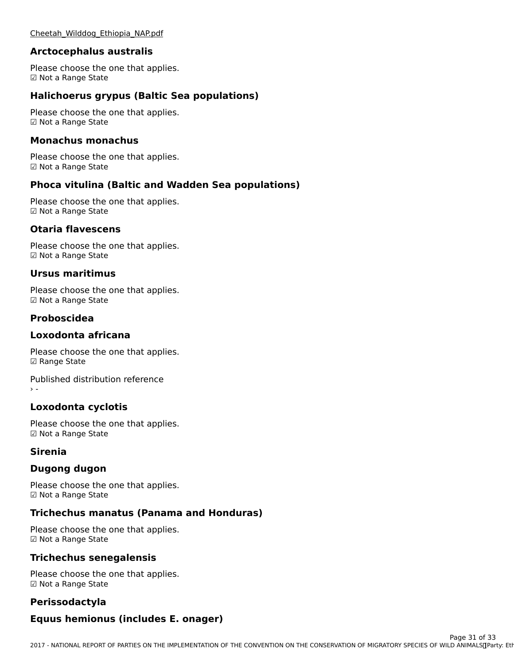### [Cheetah\\_Wilddog\\_Ethiopia\\_NAP.pdf](http://cms-ort.ort-production.linode.unep-wcmc.org/answers/2570459/documents/1654)

#### **Arctocephalus australis**

Please choose the one that applies. r rease choose the<br>☑ Not a Range State

## **Halichoerus grypus (Baltic Sea populations)**

Please choose the one that applies. ☑ Not a Range State

#### **Monachus monachus**

Please choose the one that applies. ☑ Not a Range State

## **Phoca vitulina (Baltic and Wadden Sea populations)**

Please choose the one that applies.☑ Not a Range State

#### **Otaria flavescens**

Please choose the one that applies. ☑ Not a Range State

### **Ursus maritimus**

Please choose the one that applies. r rease choose the<br>☑ Not a Range State

## **Proboscidea**

#### **Loxodonta africana**

Please choose the one that applies. ☑ Range State

Published distribution reference› -

## **Loxodonta cyclotis**

Please choose the one that applies. r rease choose the<br>☑ Not a Range State

#### **Sirenia**

#### **Dugong dugon**

Please choose the one that applies. r rease choose the<br>☑ Not a Range State

## **Trichechus manatus (Panama and Honduras)**

Please choose the one that applies.r rease choose the<br>☑ Not a Range State

## **Trichechus senegalensis**

Please choose the one that applies. ☑ Not a Range State

## **Perissodactyla**

### **Equus hemionus (includes E. onager)**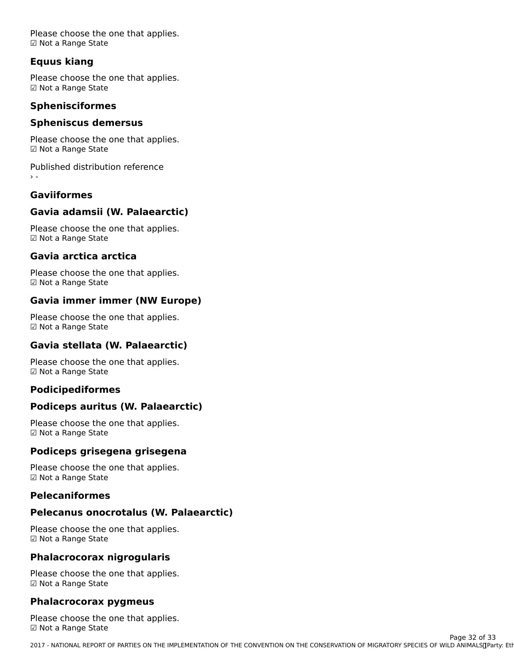Please choose the one that applies. ☑ Not a Range State

## **Equus kiang**

Please choose the one that applies. ☑ Not a Range State

### **Sphenisciformes**

## **Spheniscus demersus**

Please choose the one that applies. r rease choose the<br>☑ Not a Range State

Published distribution reference› -

## **Gaviiformes**

## **Gavia adamsii (W. Palaearctic)**

Please choose the one that applies. ☑ Not a Range State

### **Gavia arctica arctica**

Please choose the one that applies. ☑ Not a Range State

## **Gavia immer immer (NW Europe)**

Please choose the one that applies. r rease choose the<br>☑ Not a Range State

## **Gavia stellata (W. Palaearctic)**

Please choose the one that applies. r rease choose the<br>☑ Not a Range State

## **Podicipediformes**

## **Podiceps auritus (W. Palaearctic)**

Please choose the one that applies. r rease choose the<br>☑ Not a Range State

## **Podiceps grisegena grisegena**

Please choose the one that applies. ☑ Not a Range State

### **Pelecaniformes**

### **Pelecanus onocrotalus (W. Palaearctic)**

Please choose the one that applies. ☑ Not a Range State

## **Phalacrocorax nigrogularis**

Please choose the one that applies. r rease choose the<br>☑ Not a Range State

### **Phalacrocorax pygmeus**

Please choose the one that applies.r rease choose the<br>☑ Not a Range State